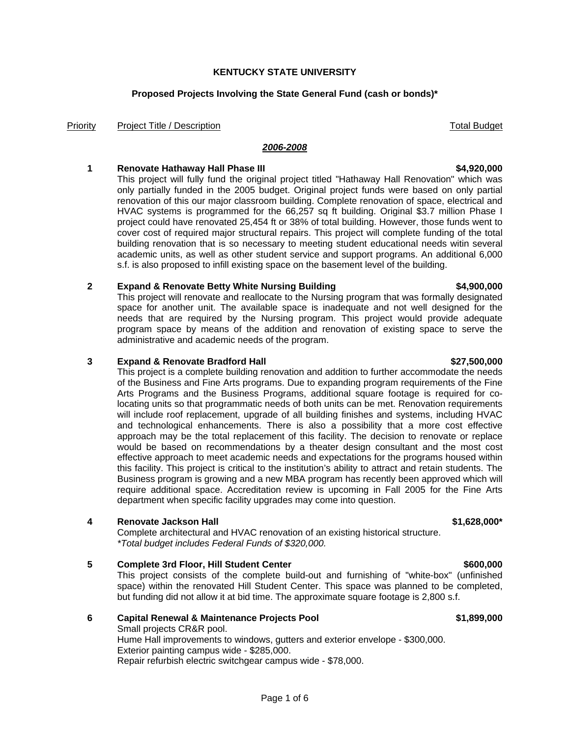# **Proposed Projects Involving the State General Fund (cash or bonds)\***

**KENTUCKY STATE UNIVERSITY**

Priority Project Title / Description Total Budget Number of Total Budget

### *2006-2008*

## **1 Renovate Hathaway Hall Phase III \$4,920,000**

This project will fully fund the original project titled "Hathaway Hall Renovation" which was only partially funded in the 2005 budget. Original project funds were based on only partial renovation of this our major classroom building. Complete renovation of space, electrical and HVAC systems is programmed for the 66,257 sq ft building. Original \$3.7 million Phase I project could have renovated 25,454 ft or 38% of total building. However, those funds went to cover cost of required major structural repairs. This project will complete funding of the total building renovation that is so necessary to meeting student educational needs witin several academic units, as well as other student service and support programs. An additional 6,000 s.f. is also proposed to infill existing space on the basement level of the building.

# **2 Expand & Renovate Betty White Nursing Building \$4,900,000**

This project will renovate and reallocate to the Nursing program that was formally designated space for another unit. The available space is inadequate and not well designed for the needs that are required by the Nursing program. This project would provide adequate program space by means of the addition and renovation of existing space to serve the administrative and academic needs of the program.

## **3 Expand & Renovate Bradford Hall \$27,500,000**

This project is a complete building renovation and addition to further accommodate the needs of the Business and Fine Arts programs. Due to expanding program requirements of the Fine Arts Programs and the Business Programs, additional square footage is required for colocating units so that programmatic needs of both units can be met. Renovation requirements will include roof replacement, upgrade of all building finishes and systems, including HVAC and technological enhancements. There is also a possibility that a more cost effective approach may be the total replacement of this facility. The decision to renovate or replace would be based on recommendations by a theater design consultant and the most cost effective approach to meet academic needs and expectations for the programs housed within this facility. This project is critical to the institution's ability to attract and retain students. The Business program is growing and a new MBA program has recently been approved which will require additional space. Accreditation review is upcoming in Fall 2005 for the Fine Arts department when specific facility upgrades may come into question.

# **4 Renovate Jackson Hall \$1,628,000\***

Complete architectural and HVAC renovation of an existing historical structure. *\*Total budget includes Federal Funds of \$320,000.*

# **5** Complete 3rd Floor, Hill Student Center **\$600,000 \$600,000**

This project consists of the complete build-out and furnishing of "white-box" (unfinished space) within the renovated Hill Student Center. This space was planned to be completed, but funding did not allow it at bid time. The approximate square footage is 2,800 s.f.

# **6 Capital Renewal & Maintenance Projects Pool \$1,899,000**

Small projects CR&R pool. Hume Hall improvements to windows, gutters and exterior envelope - \$300,000. Exterior painting campus wide - \$285,000. Repair refurbish electric switchgear campus wide - \$78,000.

### Page 1 of 6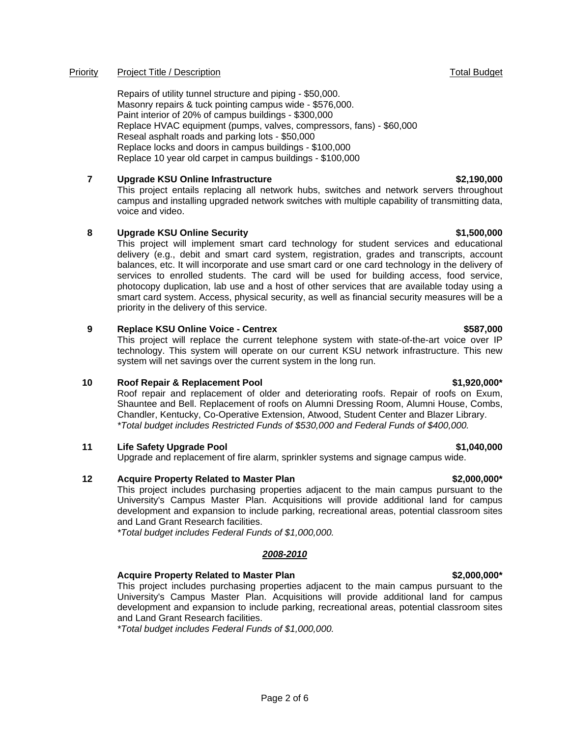# Priority Project Title / Description **Project Title / Description** Total Budget

Repairs of utility tunnel structure and piping - \$50,000. Masonry repairs & tuck pointing campus wide - \$576,000. Paint interior of 20% of campus buildings - \$300,000 Replace HVAC equipment (pumps, valves, compressors, fans) - \$60,000 Reseal asphalt roads and parking lots - \$50,000 Replace locks and doors in campus buildings - \$100,000 Replace 10 year old carpet in campus buildings - \$100,000

# **7 Upgrade KSU Online Infrastructure \$2,190,000**

This project entails replacing all network hubs, switches and network servers throughout campus and installing upgraded network switches with multiple capability of transmitting data, voice and video.

# **8 Upgrade KSU Online Security <b>1.500,000** S1,500,000

This project will implement smart card technology for student services and educational delivery (e.g., debit and smart card system, registration, grades and transcripts, account balances, etc. It will incorporate and use smart card or one card technology in the delivery of services to enrolled students. The card will be used for building access, food service, photocopy duplication, lab use and a host of other services that are available today using a smart card system. Access, physical security, as well as financial security measures will be a priority in the delivery of this service.

# **9 Replace KSU Online Voice - Centrex 4.587,000 CENTER 1998 12:000 CENTER 1999 12:000 CENTER 1999 12:000**

This project will replace the current telephone system with state-of-the-art voice over IP technology. This system will operate on our current KSU network infrastructure. This new system will net savings over the current system in the long run.

# **10 Roof Repair & Replacement Pool \$1,920,000\***

Roof repair and replacement of older and deteriorating roofs. Repair of roofs on Exum, Shauntee and Bell. Replacement of roofs on Alumni Dressing Room, Alumni House, Combs, Chandler, Kentucky, Co-Operative Extension, Atwood, Student Center and Blazer Library. *\*Total budget includes Restricted Funds of \$530,000 and Federal Funds of \$400,000.*

# **11 Life Safety Upgrade Pool \$1,040,000**

Upgrade and replacement of fire alarm, sprinkler systems and signage campus wide.

# **12 Acquire Property Related to Master Plan \$2,000,000\***

This project includes purchasing properties adjacent to the main campus pursuant to the University's Campus Master Plan. Acquisitions will provide additional land for campus development and expansion to include parking, recreational areas, potential classroom sites and Land Grant Research facilities.

*\*Total budget includes Federal Funds of \$1,000,000.*

# *2008-2010*

# **Acquire Property Related to Master Plan \$2,000,000\***

This project includes purchasing properties adjacent to the main campus pursuant to the University's Campus Master Plan. Acquisitions will provide additional land for campus development and expansion to include parking, recreational areas, potential classroom sites and Land Grant Research facilities.

*\*Total budget includes Federal Funds of \$1,000,000.*

### Page 2 of 6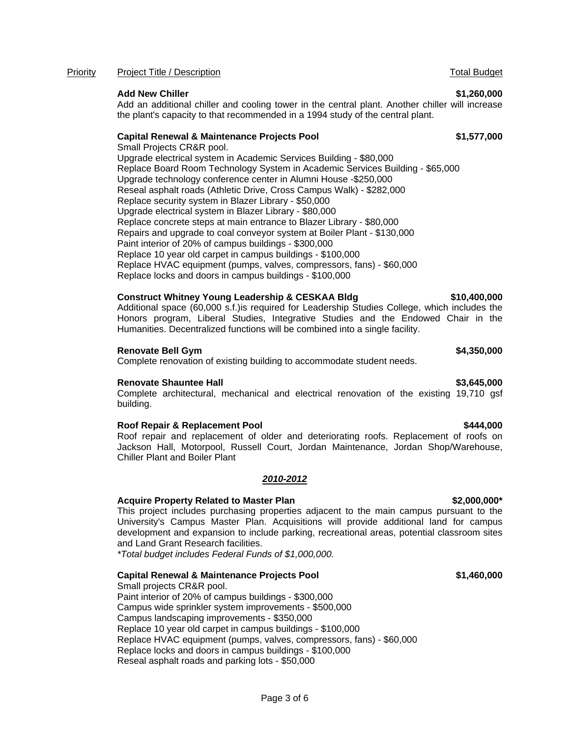### Priority Project Title / Description **Project Title / Description** Total Budget

### **Add New Chiller \$1,260,000**

Add an additional chiller and cooling tower in the central plant. Another chiller will increase the plant's capacity to that recommended in a 1994 study of the central plant.

### **Capital Renewal & Maintenance Projects Pool \$1,577,000**

Small Projects CR&R pool. Upgrade electrical system in Academic Services Building - \$80,000 Replace Board Room Technology System in Academic Services Building - \$65,000 Upgrade technology conference center in Alumni House -\$250,000 Reseal asphalt roads (Athletic Drive, Cross Campus Walk) - \$282,000 Replace security system in Blazer Library - \$50,000 Upgrade electrical system in Blazer Library - \$80,000 Replace concrete steps at main entrance to Blazer Library - \$80,000 Repairs and upgrade to coal conveyor system at Boiler Plant - \$130,000 Paint interior of 20% of campus buildings - \$300,000 Replace 10 year old carpet in campus buildings - \$100,000 Replace HVAC equipment (pumps, valves, compressors, fans) - \$60,000 Replace locks and doors in campus buildings - \$100,000

### **Construct Whitney Young Leadership & CESKAA Bldg \$10,400,000**

Additional space (60,000 s.f.)is required for Leadership Studies College, which includes the Honors program, Liberal Studies, Integrative Studies and the Endowed Chair in the Humanities. Decentralized functions will be combined into a single facility.

### **Renovate Bell Gym \$4,350,000**

Complete renovation of existing building to accommodate student needs.

### **Renovate Shauntee Hall \$3,645,000**

Complete architectural, mechanical and electrical renovation of the existing 19,710 gsf building.

### **Roof Repair & Replacement Pool \$444,000 \$444,000 \$444,000 \$444,000 \$444,000 \$444,000 \$**

Roof repair and replacement of older and deteriorating roofs. Replacement of roofs on Jackson Hall, Motorpool, Russell Court, Jordan Maintenance, Jordan Shop/Warehouse, Chiller Plant and Boiler Plant

### *2010-2012*

### **Acquire Property Related to Master Plan \$2,000,000\***

This project includes purchasing properties adjacent to the main campus pursuant to the University's Campus Master Plan. Acquisitions will provide additional land for campus development and expansion to include parking, recreational areas, potential classroom sites and Land Grant Research facilities.

*\*Total budget includes Federal Funds of \$1,000,000.*

### **Capital Renewal & Maintenance Projects Pool \$1,460,000**

Small projects CR&R pool. Paint interior of 20% of campus buildings - \$300,000 Campus wide sprinkler system improvements - \$500,000 Campus landscaping improvements - \$350,000 Replace 10 year old carpet in campus buildings - \$100,000 Replace HVAC equipment (pumps, valves, compressors, fans) - \$60,000 Replace locks and doors in campus buildings - \$100,000 Reseal asphalt roads and parking lots - \$50,000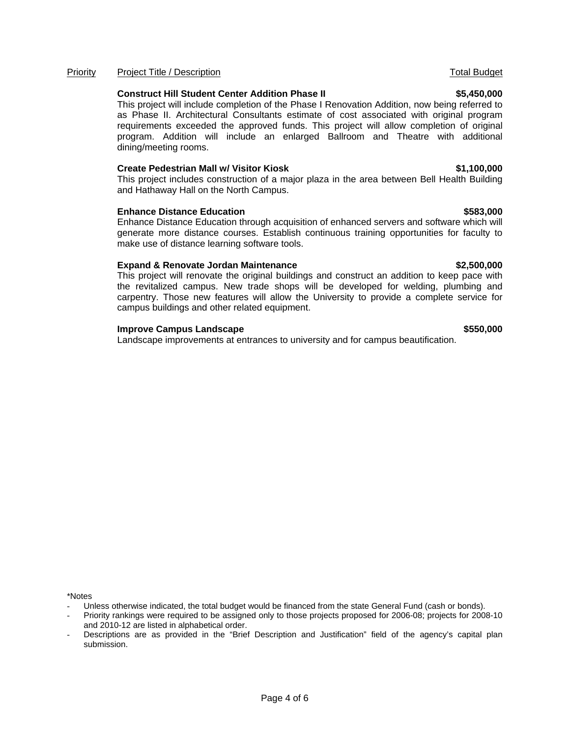# **Improve Campus Landscape**  $\sim$  **8550.000**

Landscape improvements at entrances to university and for campus beautification.

\*Notes

Page 4 of 6

### Priority Project Title / Description **Project Title / Description** Total Budget

### **Construct Hill Student Center Addition Phase II \$5,450,000**

This project will include completion of the Phase I Renovation Addition, now being referred to as Phase II. Architectural Consultants estimate of cost associated with original program requirements exceeded the approved funds. This project will allow completion of original program. Addition will include an enlarged Ballroom and Theatre with additional dining/meeting rooms.

### **Create Pedestrian Mall w/ Visitor Kiosk \$1,100,000**

This project includes construction of a major plaza in the area between Bell Health Building and Hathaway Hall on the North Campus.

### **Enhance Distance Education <b>\$583,000 \$583,000**

Enhance Distance Education through acquisition of enhanced servers and software which will generate more distance courses. Establish continuous training opportunities for faculty to make use of distance learning software tools.

### **Expand & Renovate Jordan Maintenance \$2,500,000**

This project will renovate the original buildings and construct an addition to keep pace with the revitalized campus. New trade shops will be developed for welding, plumbing and carpentry. Those new features will allow the University to provide a complete service for campus buildings and other related equipment.

Unless otherwise indicated, the total budget would be financed from the state General Fund (cash or bonds).

Priority rankings were required to be assigned only to those projects proposed for 2006-08; projects for 2008-10 and 2010-12 are listed in alphabetical order.

Descriptions are as provided in the "Brief Description and Justification" field of the agency's capital plan submission.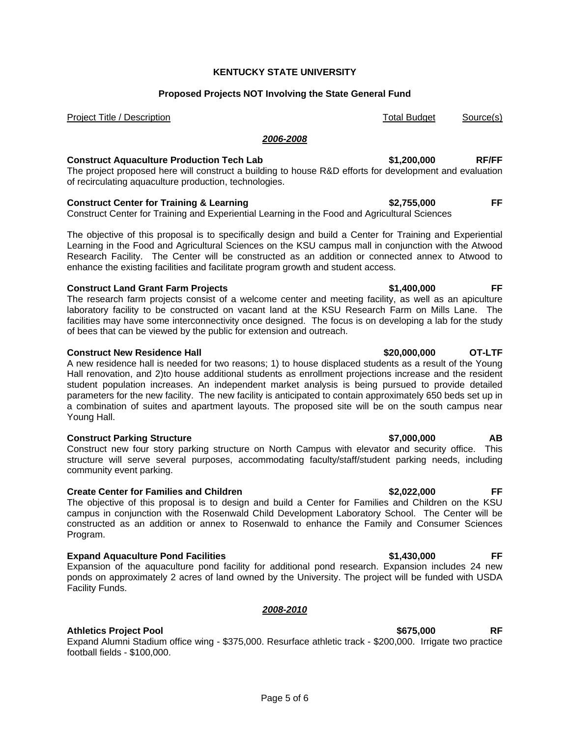### **KENTUCKY STATE UNIVERSITY**

### **Proposed Projects NOT Involving the State General Fund**

Project Title / Description Total Budget Source(s)

### *2006-2008*

## **Construct Aquaculture Production Tech Lab \$1,200,000 RF/FF**

The project proposed here will construct a building to house R&D efforts for development and evaluation of recirculating aquaculture production, technologies.

### **Construct Center for Training & Learning \$2,755,000 FF**

Construct Center for Training and Experiential Learning in the Food and Agricultural Sciences

The objective of this proposal is to specifically design and build a Center for Training and Experiential Learning in the Food and Agricultural Sciences on the KSU campus mall in conjunction with the Atwood Research Facility. The Center will be constructed as an addition or connected annex to Atwood to enhance the existing facilities and facilitate program growth and student access.

### **Construct Land Grant Farm Projects \$1,400,000 FF**

The research farm projects consist of a welcome center and meeting facility, as well as an apiculture laboratory facility to be constructed on vacant land at the KSU Research Farm on Mills Lane. The facilities may have some interconnectivity once designed. The focus is on developing a lab for the study of bees that can be viewed by the public for extension and outreach.

### **Construct New Residence Hall \$20,000,000 OT-LTF**

A new residence hall is needed for two reasons; 1) to house displaced students as a result of the Young Hall renovation, and 2)to house additional students as enrollment projections increase and the resident student population increases. An independent market analysis is being pursued to provide detailed parameters for the new facility. The new facility is anticipated to contain approximately 650 beds set up in a combination of suites and apartment layouts. The proposed site will be on the south campus near Young Hall.

### **Construct Parking Structure \$7,000,000 AB**

Construct new four story parking structure on North Campus with elevator and security office. This structure will serve several purposes, accommodating faculty/staff/student parking needs, including community event parking.

### **Create Center for Families and Children \$2,022,000 FF**

The objective of this proposal is to design and build a Center for Families and Children on the KSU campus in conjunction with the Rosenwald Child Development Laboratory School. The Center will be constructed as an addition or annex to Rosenwald to enhance the Family and Consumer Sciences Program.

### **Expand Aquaculture Pond Facilities \$1,430,000 FF**

Expansion of the aquaculture pond facility for additional pond research. Expansion includes 24 new ponds on approximately 2 acres of land owned by the University. The project will be funded with USDA Facility Funds.

### *2008-2010*

### **Athletics Project Pool \$675,000 RF**

Expand Alumni Stadium office wing - \$375,000. Resurface athletic track - \$200,000. Irrigate two practice football fields - \$100,000.